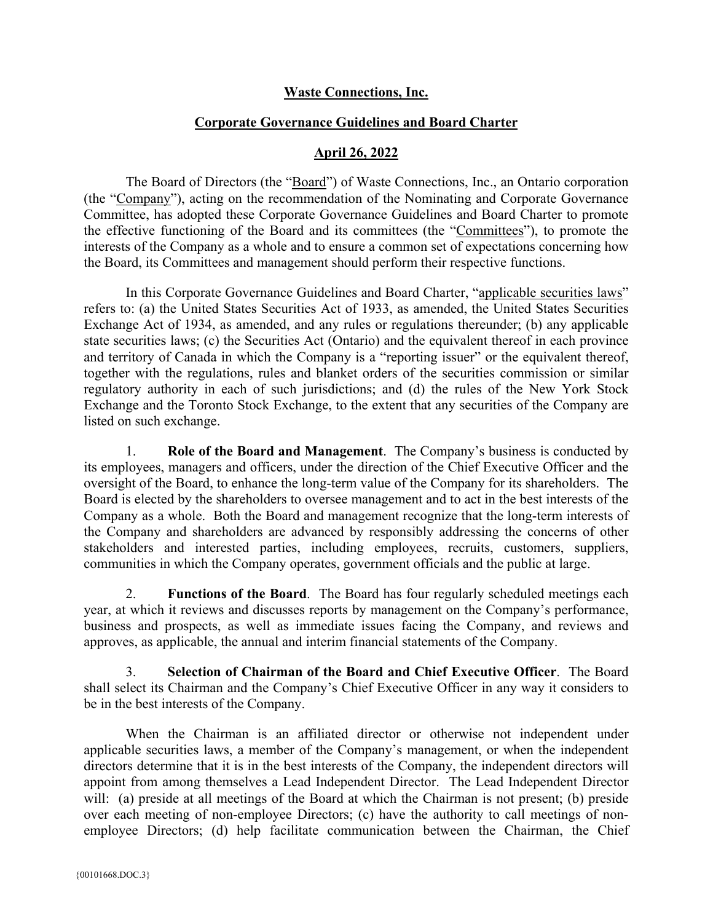## **Waste Connections, Inc.**

## **Corporate Governance Guidelines and Board Charter**

## **April 26, 2022**

The Board of Directors (the "Board") of Waste Connections, Inc., an Ontario corporation (the "Company"), acting on the recommendation of the Nominating and Corporate Governance Committee, has adopted these Corporate Governance Guidelines and Board Charter to promote the effective functioning of the Board and its committees (the "Committees"), to promote the interests of the Company as a whole and to ensure a common set of expectations concerning how the Board, its Committees and management should perform their respective functions.

In this Corporate Governance Guidelines and Board Charter, "applicable securities laws" refers to: (a) the United States Securities Act of 1933, as amended, the United States Securities Exchange Act of 1934, as amended, and any rules or regulations thereunder; (b) any applicable state securities laws; (c) the Securities Act (Ontario) and the equivalent thereof in each province and territory of Canada in which the Company is a "reporting issuer" or the equivalent thereof, together with the regulations, rules and blanket orders of the securities commission or similar regulatory authority in each of such jurisdictions; and (d) the rules of the New York Stock Exchange and the Toronto Stock Exchange, to the extent that any securities of the Company are listed on such exchange.

1. **Role of the Board and Management**. The Company's business is conducted by its employees, managers and officers, under the direction of the Chief Executive Officer and the oversight of the Board, to enhance the long-term value of the Company for its shareholders. The Board is elected by the shareholders to oversee management and to act in the best interests of the Company as a whole. Both the Board and management recognize that the long-term interests of the Company and shareholders are advanced by responsibly addressing the concerns of other stakeholders and interested parties, including employees, recruits, customers, suppliers, communities in which the Company operates, government officials and the public at large.

2. **Functions of the Board**. The Board has four regularly scheduled meetings each year, at which it reviews and discusses reports by management on the Company's performance, business and prospects, as well as immediate issues facing the Company, and reviews and approves, as applicable, the annual and interim financial statements of the Company.

3. **Selection of Chairman of the Board and Chief Executive Officer**. The Board shall select its Chairman and the Company's Chief Executive Officer in any way it considers to be in the best interests of the Company.

When the Chairman is an affiliated director or otherwise not independent under applicable securities laws, a member of the Company's management, or when the independent directors determine that it is in the best interests of the Company, the independent directors will appoint from among themselves a Lead Independent Director. The Lead Independent Director will: (a) preside at all meetings of the Board at which the Chairman is not present; (b) preside over each meeting of non-employee Directors; (c) have the authority to call meetings of nonemployee Directors; (d) help facilitate communication between the Chairman, the Chief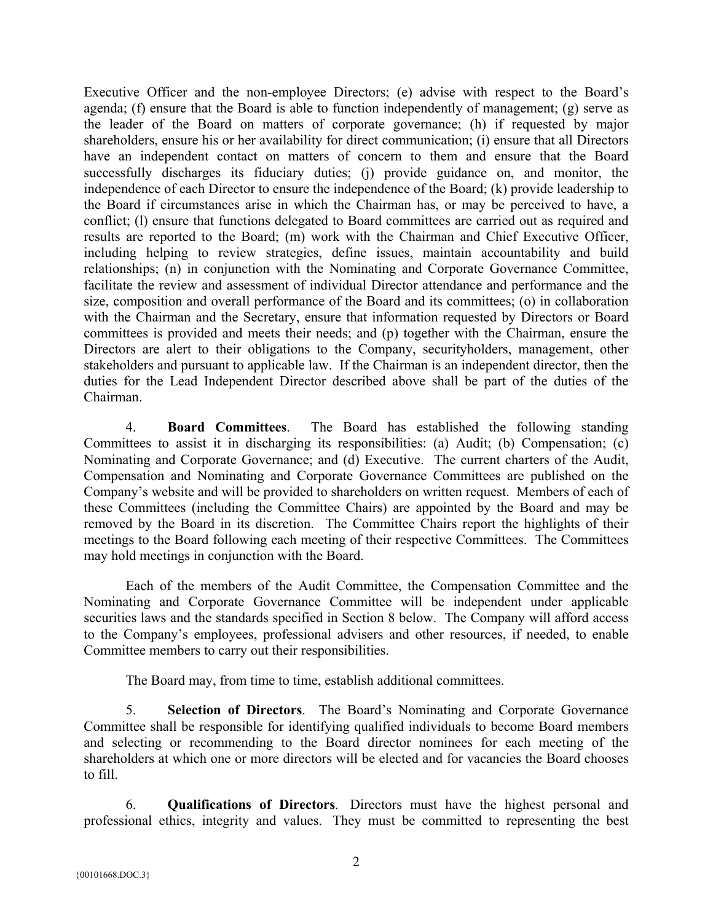Executive Officer and the non-employee Directors; (e) advise with respect to the Board's agenda; (f) ensure that the Board is able to function independently of management; (g) serve as the leader of the Board on matters of corporate governance; (h) if requested by major shareholders, ensure his or her availability for direct communication; (i) ensure that all Directors have an independent contact on matters of concern to them and ensure that the Board successfully discharges its fiduciary duties; (j) provide guidance on, and monitor, the independence of each Director to ensure the independence of the Board; (k) provide leadership to the Board if circumstances arise in which the Chairman has, or may be perceived to have, a conflict; (l) ensure that functions delegated to Board committees are carried out as required and results are reported to the Board; (m) work with the Chairman and Chief Executive Officer, including helping to review strategies, define issues, maintain accountability and build relationships; (n) in conjunction with the Nominating and Corporate Governance Committee, facilitate the review and assessment of individual Director attendance and performance and the size, composition and overall performance of the Board and its committees; (o) in collaboration with the Chairman and the Secretary, ensure that information requested by Directors or Board committees is provided and meets their needs; and (p) together with the Chairman, ensure the Directors are alert to their obligations to the Company, securityholders, management, other stakeholders and pursuant to applicable law. If the Chairman is an independent director, then the duties for the Lead Independent Director described above shall be part of the duties of the Chairman.

4. **Board Committees**.The Board has established the following standing Committees to assist it in discharging its responsibilities: (a) Audit; (b) Compensation; (c) Nominating and Corporate Governance; and (d) Executive. The current charters of the Audit, Compensation and Nominating and Corporate Governance Committees are published on the Company's website and will be provided to shareholders on written request. Members of each of these Committees (including the Committee Chairs) are appointed by the Board and may be removed by the Board in its discretion. The Committee Chairs report the highlights of their meetings to the Board following each meeting of their respective Committees. The Committees may hold meetings in conjunction with the Board.

Each of the members of the Audit Committee, the Compensation Committee and the Nominating and Corporate Governance Committee will be independent under applicable securities laws and the standards specified in Section 8 below. The Company will afford access to the Company's employees, professional advisers and other resources, if needed, to enable Committee members to carry out their responsibilities.

The Board may, from time to time, establish additional committees.

5. **Selection of Directors**. The Board's Nominating and Corporate Governance Committee shall be responsible for identifying qualified individuals to become Board members and selecting or recommending to the Board director nominees for each meeting of the shareholders at which one or more directors will be elected and for vacancies the Board chooses to fill.

6. **Qualifications of Directors**.Directors must have the highest personal and professional ethics, integrity and values. They must be committed to representing the best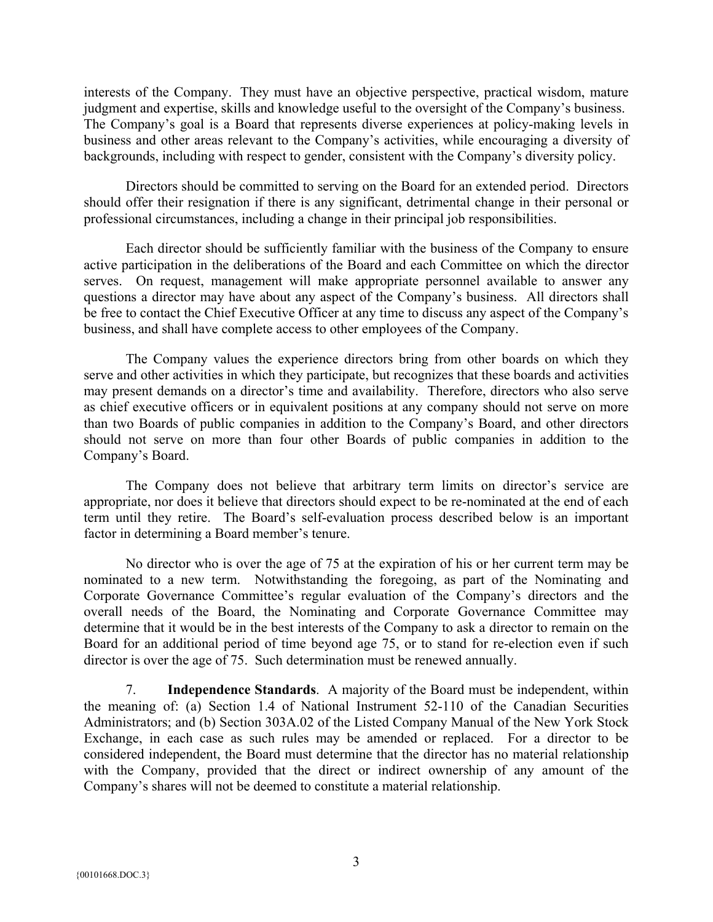interests of the Company. They must have an objective perspective, practical wisdom, mature judgment and expertise, skills and knowledge useful to the oversight of the Company's business. The Company's goal is a Board that represents diverse experiences at policy-making levels in business and other areas relevant to the Company's activities, while encouraging a diversity of backgrounds, including with respect to gender, consistent with the Company's diversity policy.

Directors should be committed to serving on the Board for an extended period. Directors should offer their resignation if there is any significant, detrimental change in their personal or professional circumstances, including a change in their principal job responsibilities.

Each director should be sufficiently familiar with the business of the Company to ensure active participation in the deliberations of the Board and each Committee on which the director serves. On request, management will make appropriate personnel available to answer any questions a director may have about any aspect of the Company's business. All directors shall be free to contact the Chief Executive Officer at any time to discuss any aspect of the Company's business, and shall have complete access to other employees of the Company.

The Company values the experience directors bring from other boards on which they serve and other activities in which they participate, but recognizes that these boards and activities may present demands on a director's time and availability. Therefore, directors who also serve as chief executive officers or in equivalent positions at any company should not serve on more than two Boards of public companies in addition to the Company's Board, and other directors should not serve on more than four other Boards of public companies in addition to the Company's Board.

The Company does not believe that arbitrary term limits on director's service are appropriate, nor does it believe that directors should expect to be re-nominated at the end of each term until they retire. The Board's self-evaluation process described below is an important factor in determining a Board member's tenure.

No director who is over the age of 75 at the expiration of his or her current term may be nominated to a new term. Notwithstanding the foregoing, as part of the Nominating and Corporate Governance Committee's regular evaluation of the Company's directors and the overall needs of the Board, the Nominating and Corporate Governance Committee may determine that it would be in the best interests of the Company to ask a director to remain on the Board for an additional period of time beyond age 75, or to stand for re-election even if such director is over the age of 75. Such determination must be renewed annually.

7. **Independence Standards**.A majority of the Board must be independent, within the meaning of: (a) Section 1.4 of National Instrument 52-110 of the Canadian Securities Administrators; and (b) Section 303A.02 of the Listed Company Manual of the New York Stock Exchange, in each case as such rules may be amended or replaced. For a director to be considered independent, the Board must determine that the director has no material relationship with the Company, provided that the direct or indirect ownership of any amount of the Company's shares will not be deemed to constitute a material relationship.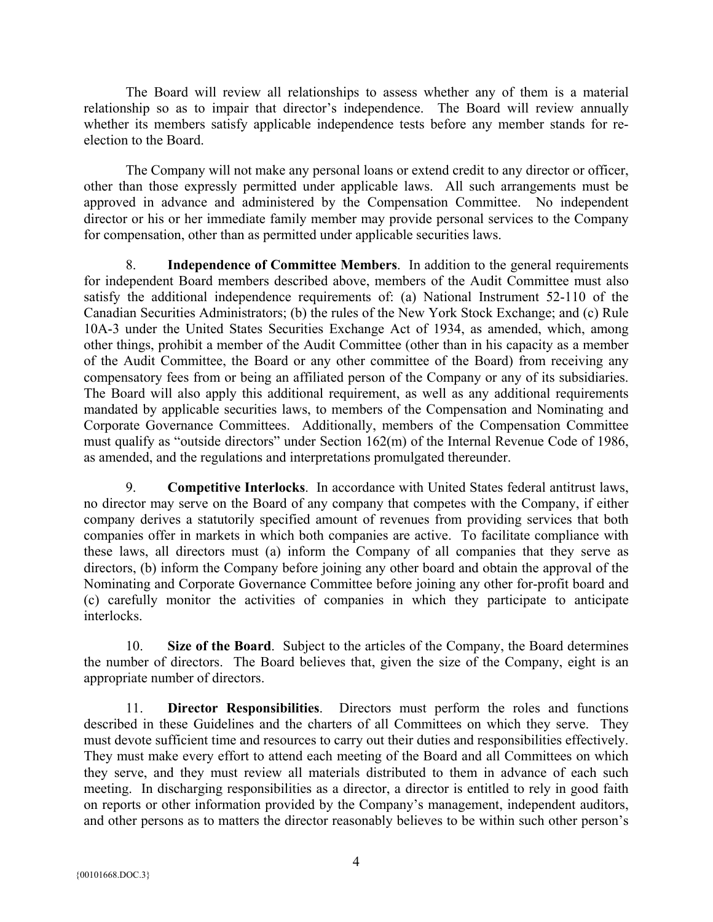The Board will review all relationships to assess whether any of them is a material relationship so as to impair that director's independence. The Board will review annually whether its members satisfy applicable independence tests before any member stands for reelection to the Board.

The Company will not make any personal loans or extend credit to any director or officer, other than those expressly permitted under applicable laws. All such arrangements must be approved in advance and administered by the Compensation Committee. No independent director or his or her immediate family member may provide personal services to the Company for compensation, other than as permitted under applicable securities laws.

8. **Independence of Committee Members**. In addition to the general requirements for independent Board members described above, members of the Audit Committee must also satisfy the additional independence requirements of: (a) National Instrument 52-110 of the Canadian Securities Administrators; (b) the rules of the New York Stock Exchange; and (c) Rule 10A-3 under the United States Securities Exchange Act of 1934, as amended, which, among other things, prohibit a member of the Audit Committee (other than in his capacity as a member of the Audit Committee, the Board or any other committee of the Board) from receiving any compensatory fees from or being an affiliated person of the Company or any of its subsidiaries. The Board will also apply this additional requirement, as well as any additional requirements mandated by applicable securities laws, to members of the Compensation and Nominating and Corporate Governance Committees. Additionally, members of the Compensation Committee must qualify as "outside directors" under Section 162(m) of the Internal Revenue Code of 1986, as amended, and the regulations and interpretations promulgated thereunder.

9. **Competitive Interlocks**.In accordance with United States federal antitrust laws, no director may serve on the Board of any company that competes with the Company, if either company derives a statutorily specified amount of revenues from providing services that both companies offer in markets in which both companies are active. To facilitate compliance with these laws, all directors must (a) inform the Company of all companies that they serve as directors, (b) inform the Company before joining any other board and obtain the approval of the Nominating and Corporate Governance Committee before joining any other for-profit board and (c) carefully monitor the activities of companies in which they participate to anticipate interlocks.

10. **Size of the Board**.Subject to the articles of the Company, the Board determines the number of directors. The Board believes that, given the size of the Company, eight is an appropriate number of directors.

11. **Director Responsibilities**.Directors must perform the roles and functions described in these Guidelines and the charters of all Committees on which they serve. They must devote sufficient time and resources to carry out their duties and responsibilities effectively. They must make every effort to attend each meeting of the Board and all Committees on which they serve, and they must review all materials distributed to them in advance of each such meeting. In discharging responsibilities as a director, a director is entitled to rely in good faith on reports or other information provided by the Company's management, independent auditors, and other persons as to matters the director reasonably believes to be within such other person's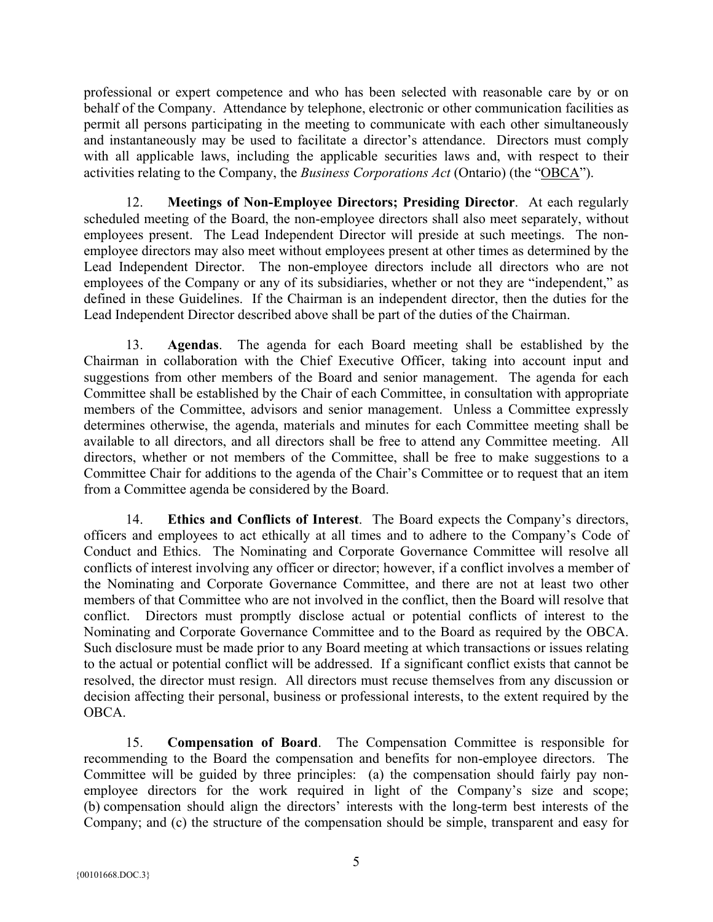professional or expert competence and who has been selected with reasonable care by or on behalf of the Company. Attendance by telephone, electronic or other communication facilities as permit all persons participating in the meeting to communicate with each other simultaneously and instantaneously may be used to facilitate a director's attendance. Directors must comply with all applicable laws, including the applicable securities laws and, with respect to their activities relating to the Company, the *Business Corporations Act* (Ontario) (the "OBCA").

12. **Meetings of Non-Employee Directors; Presiding Director**.At each regularly scheduled meeting of the Board, the non-employee directors shall also meet separately, without employees present. The Lead Independent Director will preside at such meetings. The nonemployee directors may also meet without employees present at other times as determined by the Lead Independent Director. The non-employee directors include all directors who are not employees of the Company or any of its subsidiaries, whether or not they are "independent," as defined in these Guidelines. If the Chairman is an independent director, then the duties for the Lead Independent Director described above shall be part of the duties of the Chairman.

13. **Agendas**. The agenda for each Board meeting shall be established by the Chairman in collaboration with the Chief Executive Officer, taking into account input and suggestions from other members of the Board and senior management. The agenda for each Committee shall be established by the Chair of each Committee, in consultation with appropriate members of the Committee, advisors and senior management. Unless a Committee expressly determines otherwise, the agenda, materials and minutes for each Committee meeting shall be available to all directors, and all directors shall be free to attend any Committee meeting. All directors, whether or not members of the Committee, shall be free to make suggestions to a Committee Chair for additions to the agenda of the Chair's Committee or to request that an item from a Committee agenda be considered by the Board.

14. **Ethics and Conflicts of Interest**.The Board expects the Company's directors, officers and employees to act ethically at all times and to adhere to the Company's Code of Conduct and Ethics. The Nominating and Corporate Governance Committee will resolve all conflicts of interest involving any officer or director; however, if a conflict involves a member of the Nominating and Corporate Governance Committee, and there are not at least two other members of that Committee who are not involved in the conflict, then the Board will resolve that conflict. Directors must promptly disclose actual or potential conflicts of interest to the Nominating and Corporate Governance Committee and to the Board as required by the OBCA. Such disclosure must be made prior to any Board meeting at which transactions or issues relating to the actual or potential conflict will be addressed. If a significant conflict exists that cannot be resolved, the director must resign. All directors must recuse themselves from any discussion or decision affecting their personal, business or professional interests, to the extent required by the OBCA.

15. **Compensation of Board**.The Compensation Committee is responsible for recommending to the Board the compensation and benefits for non-employee directors. The Committee will be guided by three principles: (a) the compensation should fairly pay nonemployee directors for the work required in light of the Company's size and scope; (b) compensation should align the directors' interests with the long-term best interests of the Company; and (c) the structure of the compensation should be simple, transparent and easy for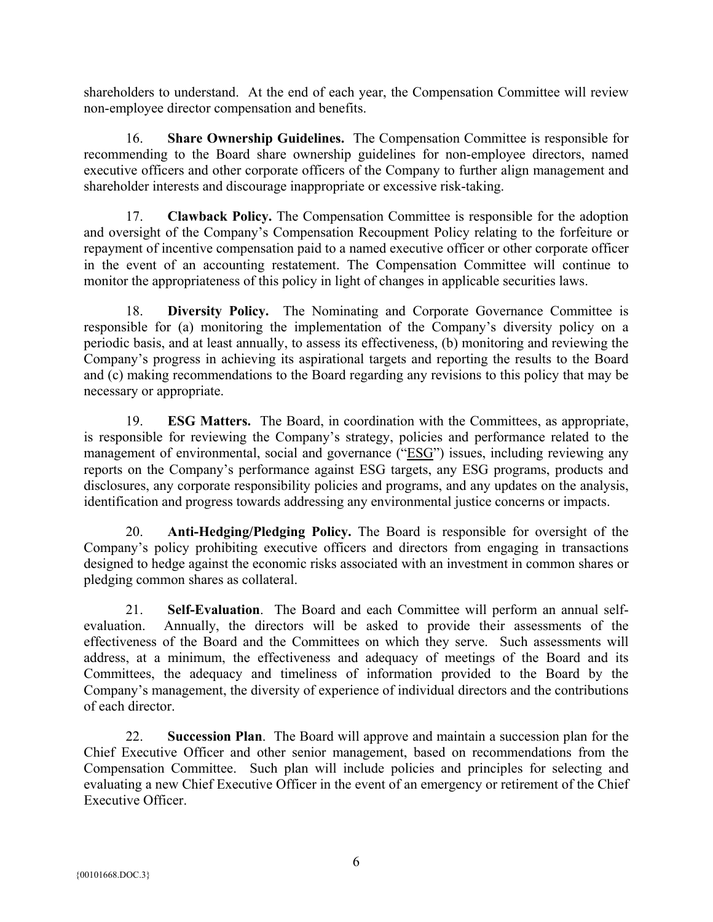shareholders to understand. At the end of each year, the Compensation Committee will review non-employee director compensation and benefits.

16. **Share Ownership Guidelines.** The Compensation Committee is responsible for recommending to the Board share ownership guidelines for non-employee directors, named executive officers and other corporate officers of the Company to further align management and shareholder interests and discourage inappropriate or excessive risk-taking.

17. **Clawback Policy.** The Compensation Committee is responsible for the adoption and oversight of the Company's Compensation Recoupment Policy relating to the forfeiture or repayment of incentive compensation paid to a named executive officer or other corporate officer in the event of an accounting restatement. The Compensation Committee will continue to monitor the appropriateness of this policy in light of changes in applicable securities laws.

18. **Diversity Policy.** The Nominating and Corporate Governance Committee is responsible for (a) monitoring the implementation of the Company's diversity policy on a periodic basis, and at least annually, to assess its effectiveness, (b) monitoring and reviewing the Company's progress in achieving its aspirational targets and reporting the results to the Board and (c) making recommendations to the Board regarding any revisions to this policy that may be necessary or appropriate.

19. **ESG Matters.** The Board, in coordination with the Committees, as appropriate, is responsible for reviewing the Company's strategy, policies and performance related to the management of environmental, social and governance ("ESG") issues, including reviewing any reports on the Company's performance against ESG targets, any ESG programs, products and disclosures, any corporate responsibility policies and programs, and any updates on the analysis, identification and progress towards addressing any environmental justice concerns or impacts.

20. **Anti-Hedging/Pledging Policy.** The Board is responsible for oversight of the Company's policy prohibiting executive officers and directors from engaging in transactions designed to hedge against the economic risks associated with an investment in common shares or pledging common shares as collateral.

21. **Self-Evaluation**.The Board and each Committee will perform an annual selfevaluation. Annually, the directors will be asked to provide their assessments of the effectiveness of the Board and the Committees on which they serve. Such assessments will address, at a minimum, the effectiveness and adequacy of meetings of the Board and its Committees, the adequacy and timeliness of information provided to the Board by the Company's management, the diversity of experience of individual directors and the contributions of each director.

22. **Succession Plan**. The Board will approve and maintain a succession plan for the Chief Executive Officer and other senior management, based on recommendations from the Compensation Committee. Such plan will include policies and principles for selecting and evaluating a new Chief Executive Officer in the event of an emergency or retirement of the Chief Executive Officer.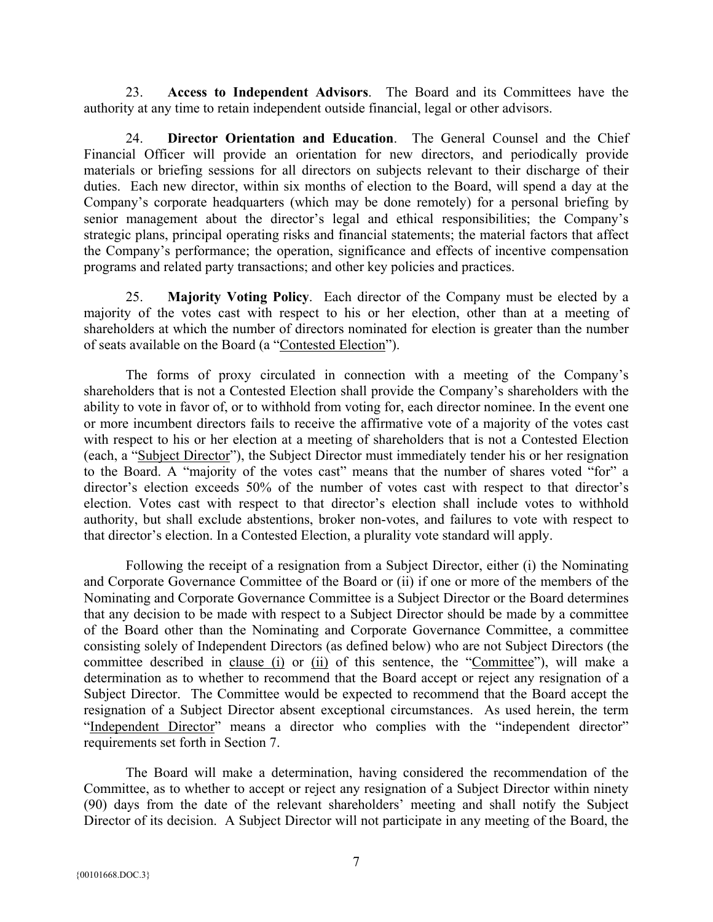23. **Access to Independent Advisors**.The Board and its Committees have the authority at any time to retain independent outside financial, legal or other advisors.

24. **Director Orientation and Education**.The General Counsel and the Chief Financial Officer will provide an orientation for new directors, and periodically provide materials or briefing sessions for all directors on subjects relevant to their discharge of their duties. Each new director, within six months of election to the Board, will spend a day at the Company's corporate headquarters (which may be done remotely) for a personal briefing by senior management about the director's legal and ethical responsibilities; the Company's strategic plans, principal operating risks and financial statements; the material factors that affect the Company's performance; the operation, significance and effects of incentive compensation programs and related party transactions; and other key policies and practices.

25. **Majority Voting Policy**. Each director of the Company must be elected by a majority of the votes cast with respect to his or her election, other than at a meeting of shareholders at which the number of directors nominated for election is greater than the number of seats available on the Board (a "Contested Election").

The forms of proxy circulated in connection with a meeting of the Company's shareholders that is not a Contested Election shall provide the Company's shareholders with the ability to vote in favor of, or to withhold from voting for, each director nominee. In the event one or more incumbent directors fails to receive the affirmative vote of a majority of the votes cast with respect to his or her election at a meeting of shareholders that is not a Contested Election (each, a "Subject Director"), the Subject Director must immediately tender his or her resignation to the Board. A "majority of the votes cast" means that the number of shares voted "for" a director's election exceeds 50% of the number of votes cast with respect to that director's election. Votes cast with respect to that director's election shall include votes to withhold authority, but shall exclude abstentions, broker non-votes, and failures to vote with respect to that director's election. In a Contested Election, a plurality vote standard will apply.

Following the receipt of a resignation from a Subject Director, either (i) the Nominating and Corporate Governance Committee of the Board or (ii) if one or more of the members of the Nominating and Corporate Governance Committee is a Subject Director or the Board determines that any decision to be made with respect to a Subject Director should be made by a committee of the Board other than the Nominating and Corporate Governance Committee, a committee consisting solely of Independent Directors (as defined below) who are not Subject Directors (the committee described in clause (i) or (ii) of this sentence, the "Committee"), will make a determination as to whether to recommend that the Board accept or reject any resignation of a Subject Director. The Committee would be expected to recommend that the Board accept the resignation of a Subject Director absent exceptional circumstances. As used herein, the term "Independent Director" means a director who complies with the "independent director" requirements set forth in Section 7.

The Board will make a determination, having considered the recommendation of the Committee, as to whether to accept or reject any resignation of a Subject Director within ninety (90) days from the date of the relevant shareholders' meeting and shall notify the Subject Director of its decision. A Subject Director will not participate in any meeting of the Board, the